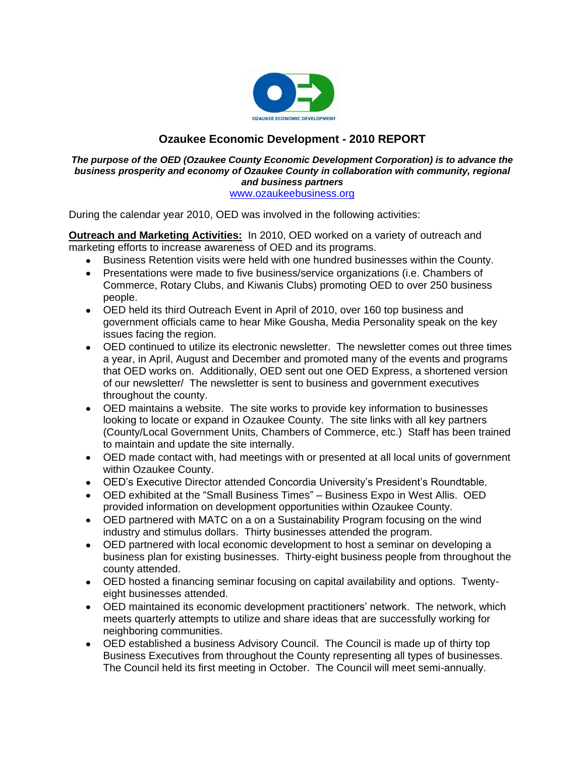

# **Ozaukee Economic Development - 2010 REPORT**

#### *The purpose of the OED (Ozaukee County Economic Development Corporation) is to advance the business prosperity and economy of Ozaukee County in collaboration with community, regional and business partners* [www.ozaukeebusiness.org](http://www.ozaukeebusiness.org/)

During the calendar year 2010, OED was involved in the following activities:

**Outreach and Marketing Activities:** In 2010, OED worked on a variety of outreach and marketing efforts to increase awareness of OED and its programs.

- Business Retention visits were held with one hundred businesses within the County.  $\bullet$
- Presentations were made to five business/service organizations (i.e. Chambers of Commerce, Rotary Clubs, and Kiwanis Clubs) promoting OED to over 250 business people.
- OED held its third Outreach Event in April of 2010, over 160 top business and government officials came to hear Mike Gousha, Media Personality speak on the key issues facing the region.
- OED continued to utilize its electronic newsletter. The newsletter comes out three times a year, in April, August and December and promoted many of the events and programs that OED works on. Additionally, OED sent out one OED Express, a shortened version of our newsletter/ The newsletter is sent to business and government executives throughout the county.
- OED maintains a website. The site works to provide key information to businesses looking to locate or expand in Ozaukee County. The site links with all key partners (County/Local Government Units, Chambers of Commerce, etc.) Staff has been trained to maintain and update the site internally.
- OED made contact with, had meetings with or presented at all local units of government within Ozaukee County.
- OED's Executive Director attended Concordia University's President's Roundtable.
- OED exhibited at the "Small Business Times" Business Expo in West Allis. OED provided information on development opportunities within Ozaukee County.
- OED partnered with MATC on a on a Sustainability Program focusing on the wind industry and stimulus dollars. Thirty businesses attended the program.
- OED partnered with local economic development to host a seminar on developing a business plan for existing businesses. Thirty-eight business people from throughout the county attended.
- OED hosted a financing seminar focusing on capital availability and options. Twentyeight businesses attended.
- OED maintained its economic development practitioners' network. The network, which meets quarterly attempts to utilize and share ideas that are successfully working for neighboring communities.
- OED established a business Advisory Council. The Council is made up of thirty top Business Executives from throughout the County representing all types of businesses. The Council held its first meeting in October. The Council will meet semi-annually.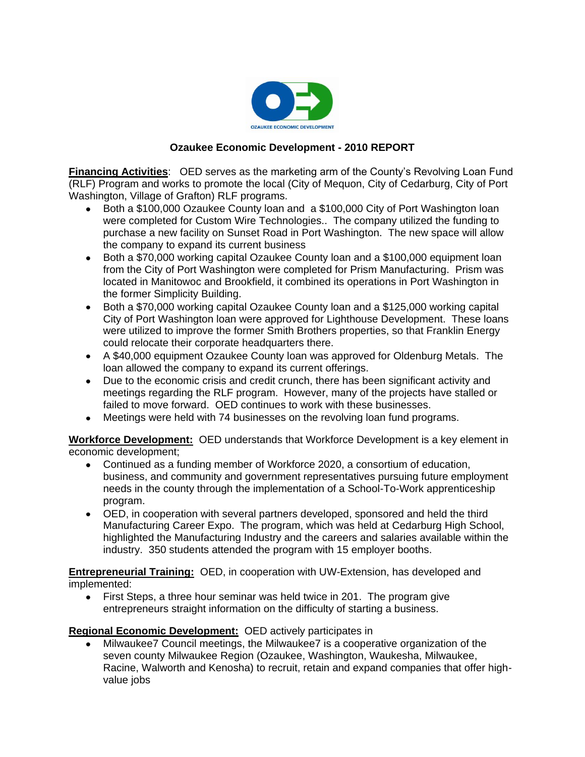

## **Ozaukee Economic Development - 2010 REPORT**

**Financing Activities**: OED serves as the marketing arm of the County's Revolving Loan Fund (RLF) Program and works to promote the local (City of Mequon, City of Cedarburg, City of Port Washington, Village of Grafton) RLF programs.

- Both a \$100,000 Ozaukee County loan and a \$100,000 City of Port Washington loan were completed for Custom Wire Technologies.. The company utilized the funding to purchase a new facility on Sunset Road in Port Washington. The new space will allow the company to expand its current business
- Both a \$70,000 working capital Ozaukee County loan and a \$100,000 equipment loan from the City of Port Washington were completed for Prism Manufacturing. Prism was located in Manitowoc and Brookfield, it combined its operations in Port Washington in the former Simplicity Building.
- Both a \$70,000 working capital Ozaukee County loan and a \$125,000 working capital City of Port Washington loan were approved for Lighthouse Development. These loans were utilized to improve the former Smith Brothers properties, so that Franklin Energy could relocate their corporate headquarters there.
- A \$40,000 equipment Ozaukee County loan was approved for Oldenburg Metals. The loan allowed the company to expand its current offerings.
- Due to the economic crisis and credit crunch, there has been significant activity and meetings regarding the RLF program. However, many of the projects have stalled or failed to move forward. OED continues to work with these businesses.
- Meetings were held with 74 businesses on the revolving loan fund programs.

**Workforce Development:** OED understands that Workforce Development is a key element in economic development;

- Continued as a funding member of Workforce 2020, a consortium of education,  $\bullet$ business, and community and government representatives pursuing future employment needs in the county through the implementation of a School-To-Work apprenticeship program.
- OED, in cooperation with several partners developed, sponsored and held the third Manufacturing Career Expo. The program, which was held at Cedarburg High School, highlighted the Manufacturing Industry and the careers and salaries available within the industry. 350 students attended the program with 15 employer booths.

**Entrepreneurial Training:** OED, in cooperation with UW-Extension, has developed and implemented:

First Steps, a three hour seminar was held twice in 201. The program give  $\bullet$ entrepreneurs straight information on the difficulty of starting a business.

#### **Regional Economic Development:** OED actively participates in

Milwaukee7 Council meetings, the Milwaukee7 is a cooperative organization of the seven county Milwaukee Region (Ozaukee, Washington, Waukesha, Milwaukee, Racine, Walworth and Kenosha) to recruit, retain and expand companies that offer highvalue jobs